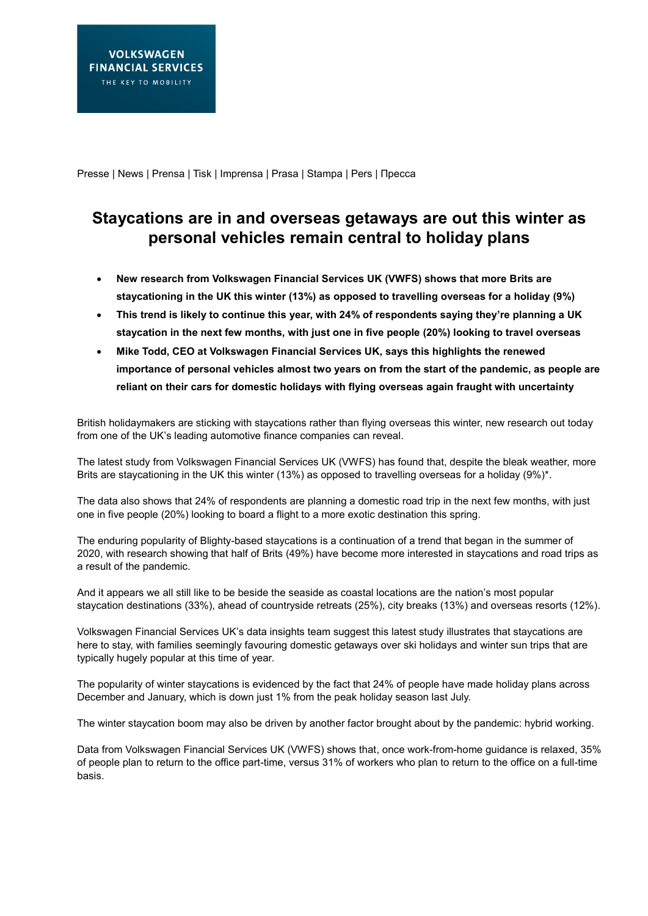Presse | News | Prensa | Tisk | Imprensa | Prasa | Stampa | Pers | Пресса

## **Staycations are in and overseas getaways are out this winter as personal vehicles remain central to holiday plans**

- **New research from Volkswagen Financial Services UK (VWFS) shows that more Brits are staycationing in the UK this winter (13%) as opposed to travelling overseas for a holiday (9%)**
- **This trend is likely to continue this year, with 24% of respondents saying they're planning a UK staycation in the next few months, with just one in five people (20%) looking to travel overseas**
- **Mike Todd, CEO at Volkswagen Financial Services UK, says this highlights the renewed importance of personal vehicles almost two years on from the start of the pandemic, as people are reliant on their cars for domestic holidays with flying overseas again fraught with uncertainty**

British holidaymakers are sticking with staycations rather than flying overseas this winter, new research out today from one of the UK's leading automotive finance companies can reveal.

The latest study from Volkswagen Financial Services UK (VWFS) has found that, despite the bleak weather, more Brits are staycationing in the UK this winter (13%) as opposed to travelling overseas for a holiday (9%)\*.

The data also shows that 24% of respondents are planning a domestic road trip in the next few months, with just one in five people (20%) looking to board a flight to a more exotic destination this spring.

The enduring popularity of Blighty-based staycations is a continuation of a trend that began in the summer of 2020, with research showing that half of Brits (49%) have become more interested in staycations and road trips as a result of the pandemic.

And it appears we all still like to be beside the seaside as coastal locations are the nation's most popular staycation destinations (33%), ahead of countryside retreats (25%), city breaks (13%) and overseas resorts (12%).

Volkswagen Financial Services UK's data insights team suggest this latest study illustrates that staycations are here to stay, with families seemingly favouring domestic getaways over ski holidays and winter sun trips that are typically hugely popular at this time of year.

The popularity of winter staycations is evidenced by the fact that 24% of people have made holiday plans across December and January, which is down just 1% from the peak holiday season last July.

The winter staycation boom may also be driven by another factor brought about by the pandemic: hybrid working.

Data from Volkswagen Financial Services UK (VWFS) shows that, once work-from-home guidance is relaxed, 35% of people plan to return to the office part-time, versus 31% of workers who plan to return to the office on a full-time basis.